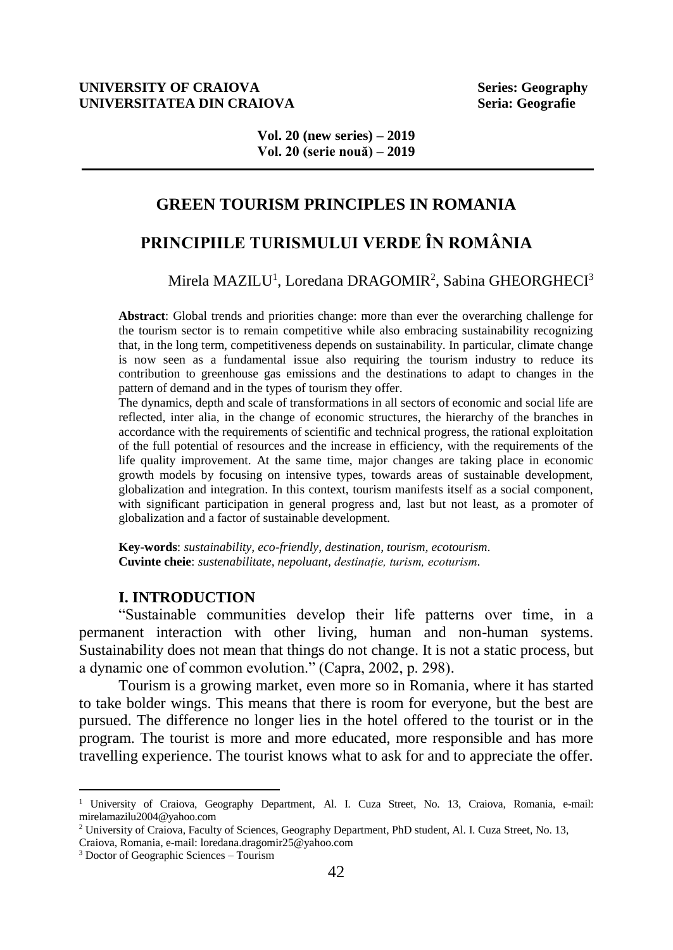#### **UNIVERSITY OF CRAIOVA** Series: Geography **UNIVERSITATEA DIN CRAIOVA Seria: Geografie**

**Vol. 20 (new series) – 2019 Vol. 20 (serie nouă) – 2019**

# **GREEN TOURISM PRINCIPLES IN ROMANIA**

# **PRINCIPIILE TURISMULUI VERDE ÎN ROMÂNIA**

## Mirela MAZILU<sup>1</sup>, Loredana DRAGOMIR<sup>2</sup>, Sabina GHEORGHECI<sup>3</sup>

**Abstract**: Global trends and priorities change: more than ever the overarching challenge for the tourism sector is to remain competitive while also embracing sustainability recognizing that, in the long term, competitiveness depends on sustainability. In particular, climate change is now seen as a fundamental issue also requiring the tourism industry to reduce its contribution to greenhouse gas emissions and the destinations to adapt to changes in the pattern of demand and in the types of tourism they offer.

The dynamics, depth and scale of transformations in all sectors of economic and social life are reflected, inter alia, in the change of economic structures, the hierarchy of the branches in accordance with the requirements of scientific and technical progress, the rational exploitation of the full potential of resources and the increase in efficiency, with the requirements of the life quality improvement. At the same time, major changes are taking place in economic growth models by focusing on intensive types, towards areas of sustainable development, globalization and integration. In this context, tourism manifests itself as a social component, with significant participation in general progress and, last but not least, as a promoter of globalization and a factor of sustainable development.

**Key-words**: *sustainability, eco-friendly, destination, tourism, ecotourism.* **Cuvinte cheie**: *sustenabilitate, nepoluant, destinație, turism, ecoturism.*

#### **I. INTRODUCTION**

"Sustainable communities develop their life patterns over time, in a permanent interaction with other living, human and non-human systems. Sustainability does not mean that things do not change. It is not a static process, but a dynamic one of common evolution." (Capra, 2002, p. 298).

Tourism is a growing market, even more so in Romania, where it has started to take bolder wings. This means that there is room for everyone, but the best are pursued. The difference no longer lies in the hotel offered to the tourist or in the program. The tourist is more and more educated, more responsible and has more travelling experience. The tourist knows what to ask for and to appreciate the offer.

 $\overline{a}$ 

<sup>&</sup>lt;sup>1</sup> University of Craiova, Geography Department, Al. I. Cuza Street, No. 13, Craiova, Romania, e-mail: mirelamazilu2004@yahoo.com

<sup>2</sup> University of Craiova, Faculty of Sciences, Geography Department, PhD student, Al. I. Cuza Street, No. 13,

Craiova, Romania, e-mail[: loredana.dragomir25@yahoo.com](mailto:loredana.dragomir25@yahoo.com)

<sup>3</sup> Doctor of Geographic Sciences – Tourism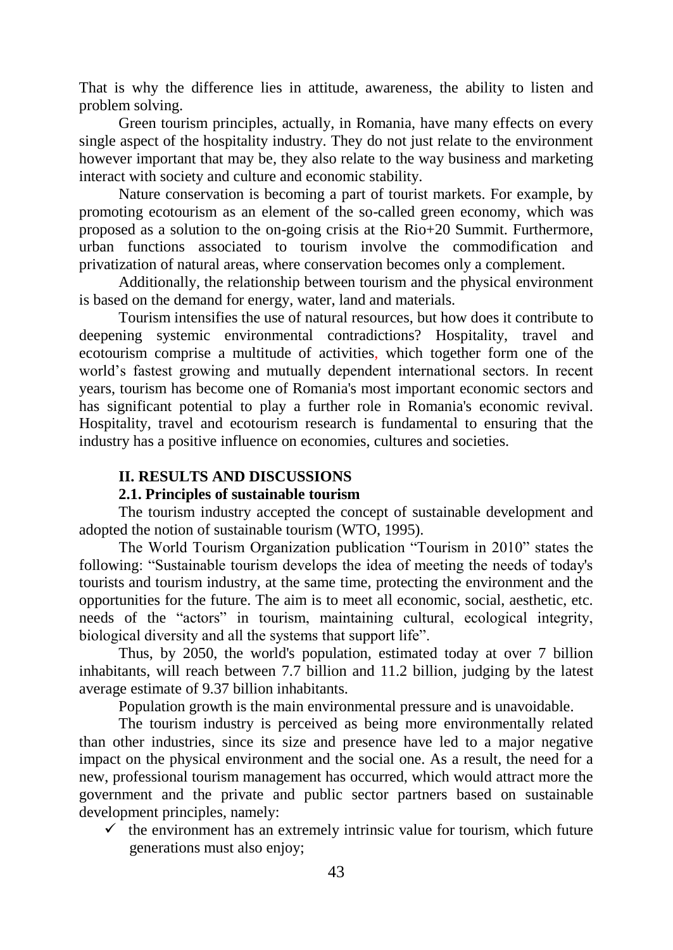That is why the difference lies in attitude, awareness, the ability to listen and problem solving.

Green tourism principles, actually, in Romania, have many effects on every single aspect of the hospitality industry. They do not just relate to the environment however important that may be, they also relate to the way business and marketing interact with society and culture and economic stability.

Nature conservation is becoming a part of tourist markets. For example, by promoting ecotourism as an element of the so-called green economy, which was proposed as a solution to the on-going crisis at the Rio+20 Summit. Furthermore, urban functions associated to tourism involve the commodification and privatization of natural areas, where conservation becomes only a complement.

Additionally, the relationship between tourism and the physical environment is based on the demand for energy, water, land and materials.

Tourism intensifies the use of natural resources, but how does it contribute to deepening systemic environmental contradictions? Hospitality, travel and ecotourism comprise a multitude of activities, which together form one of the world's fastest growing and mutually dependent international sectors. In recent years, tourism has become one of Romania's most important economic sectors and has significant potential to play a further role in Romania's economic revival. Hospitality, travel and ecotourism research is fundamental to ensuring that the industry has a positive influence on economies, cultures and societies.

#### **II. RESULTS AND DISCUSSIONS**

### **2.1. Principles of sustainable tourism**

The tourism industry accepted the concept of sustainable development and adopted the notion of sustainable tourism (WTO, 1995).

The World Tourism Organization publication "Tourism in 2010" states the following: "Sustainable tourism develops the idea of meeting the needs of today's tourists and tourism industry, at the same time, protecting the environment and the opportunities for the future. The aim is to meet all economic, social, aesthetic, etc. needs of the "actors" in tourism, maintaining cultural, ecological integrity, biological diversity and all the systems that support life".

Thus, by 2050, the world's population, estimated today at over 7 billion inhabitants, will reach between 7.7 billion and 11.2 billion, judging by the latest average estimate of 9.37 billion inhabitants.

Population growth is the main environmental pressure and is unavoidable.

The tourism industry is perceived as being more environmentally related than other industries, since its size and presence have led to a major negative impact on the physical environment and the social one. As a result, the need for a new, professional tourism management has occurred, which would attract more the government and the private and public sector partners based on sustainable development principles, namely:

 $\checkmark$  the environment has an extremely intrinsic value for tourism, which future generations must also enjoy;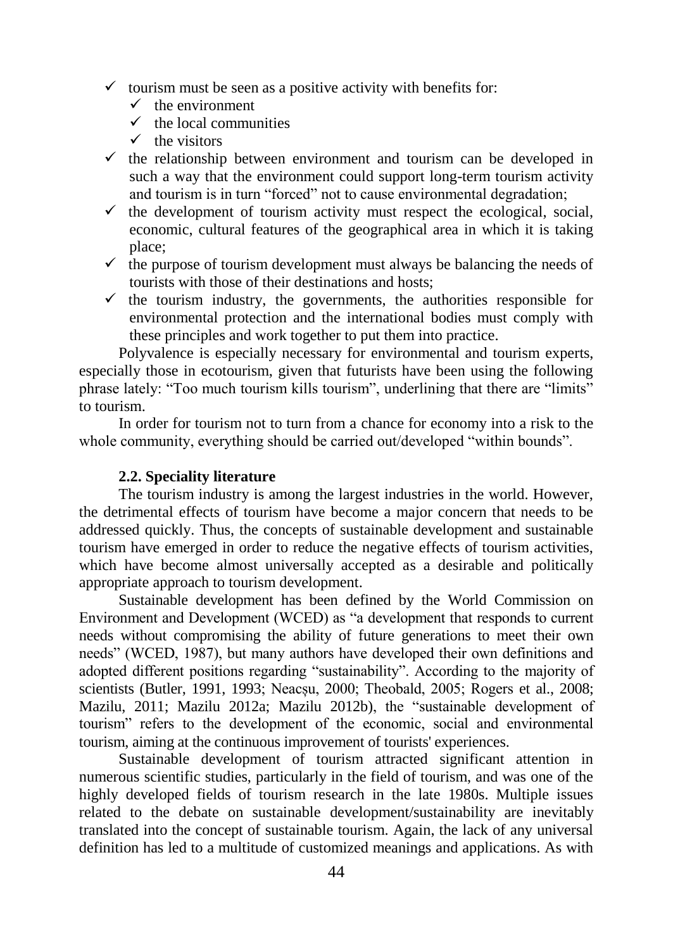- $\checkmark$  tourism must be seen as a positive activity with benefits for:
	- $\checkmark$  the environment
	- $\checkmark$  the local communities
	- $\checkmark$  the visitors
- $\checkmark$  the relationship between environment and tourism can be developed in such a way that the environment could support long-term tourism activity and tourism is in turn "forced" not to cause environmental degradation;
- $\checkmark$  the development of tourism activity must respect the ecological, social, economic, cultural features of the geographical area in which it is taking place;
- $\checkmark$  the purpose of tourism development must always be balancing the needs of tourists with those of their destinations and hosts;
- $\checkmark$  the tourism industry, the governments, the authorities responsible for environmental protection and the international bodies must comply with these principles and work together to put them into practice.

Polyvalence is especially necessary for environmental and tourism experts, especially those in ecotourism, given that futurists have been using the following phrase lately: "Too much tourism kills tourism", underlining that there are "limits" to tourism.

In order for tourism not to turn from a chance for economy into a risk to the whole community, everything should be carried out/developed "within bounds".

### **2.2. Speciality literature**

The tourism industry is among the largest industries in the world. However, the detrimental effects of tourism have become a major concern that needs to be addressed quickly. Thus, the concepts of sustainable development and sustainable tourism have emerged in order to reduce the negative effects of tourism activities, which have become almost universally accepted as a desirable and politically appropriate approach to tourism development.

Sustainable development has been defined by the World Commission on Environment and Development (WCED) as "a development that responds to current needs without compromising the ability of future generations to meet their own needs" (WCED, 1987), but many authors have developed their own definitions and adopted different positions regarding "sustainability". According to the majority of scientists (Butler, 1991, 1993; Neacșu, 2000; Theobald, 2005; Rogers et al., 2008; Mazilu, 2011; Mazilu 2012a; Mazilu 2012b), the "sustainable development of tourism" refers to the development of the economic, social and environmental tourism, aiming at the continuous improvement of tourists' experiences.

Sustainable development of tourism attracted significant attention in numerous scientific studies, particularly in the field of tourism, and was one of the highly developed fields of tourism research in the late 1980s. Multiple issues related to the debate on sustainable development/sustainability are inevitably translated into the concept of sustainable tourism. Again, the lack of any universal definition has led to a multitude of customized meanings and applications. As with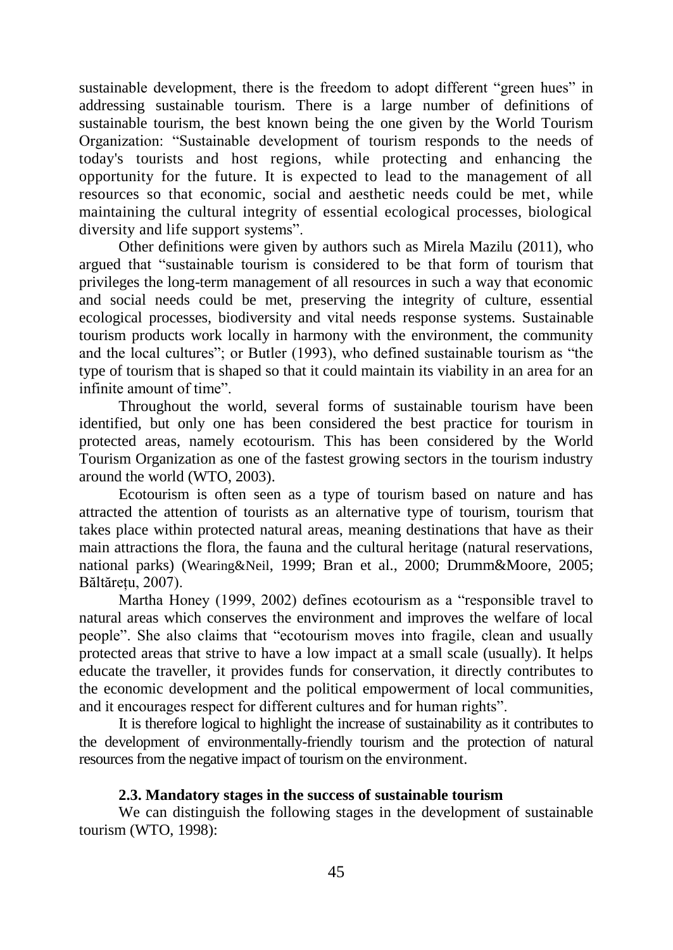sustainable development, there is the freedom to adopt different "green hues" in addressing sustainable tourism. There is a large number of definitions of sustainable tourism, the best known being the one given by the World Tourism Organization: "Sustainable development of tourism responds to the needs of today's tourists and host regions, while protecting and enhancing the opportunity for the future. It is expected to lead to the management of all resources so that economic, social and aesthetic needs could be met, while maintaining the cultural integrity of essential ecological processes, biological diversity and life support systems".

Other definitions were given by authors such as Mirela Mazilu (2011), who argued that "sustainable tourism is considered to be that form of tourism that privileges the long-term management of all resources in such a way that economic and social needs could be met, preserving the integrity of culture, essential ecological processes, biodiversity and vital needs response systems. Sustainable tourism products work locally in harmony with the environment, the community and the local cultures"; or Butler (1993), who defined sustainable tourism as "the type of tourism that is shaped so that it could maintain its viability in an area for an infinite amount of time".

Throughout the world, several forms of sustainable tourism have been identified, but only one has been considered the best practice for tourism in protected areas, namely ecotourism. This has been considered by the World Tourism Organization as one of the fastest growing sectors in the tourism industry around the world (WTO, 2003).

Ecotourism is often seen as a type of tourism based on nature and has attracted the attention of tourists as an alternative type of tourism, tourism that takes place within protected natural areas, meaning destinations that have as their main attractions the flora, the fauna and the cultural heritage (natural reservations, national parks) (Wearing&Neil, 1999; Bran et al., 2000; Drumm&Moore, 2005; Băltărețu, 2007).

Martha Honey (1999, 2002) defines ecotourism as a "responsible travel to natural areas which conserves the environment and improves the welfare of local people". She also claims that "ecotourism moves into fragile, clean and usually protected areas that strive to have a low impact at a small scale (usually). It helps educate the traveller, it provides funds for conservation, it directly contributes to the economic development and the political empowerment of local communities, and it encourages respect for different cultures and for human rights".

It is therefore logical to highlight the increase of sustainability as it contributes to the development of environmentally-friendly tourism and the protection of natural resources from the negative impact of tourism on the environment.

#### **2.3. Mandatory stages in the success of sustainable tourism**

We can distinguish the following stages in the development of sustainable tourism (WTO, 1998):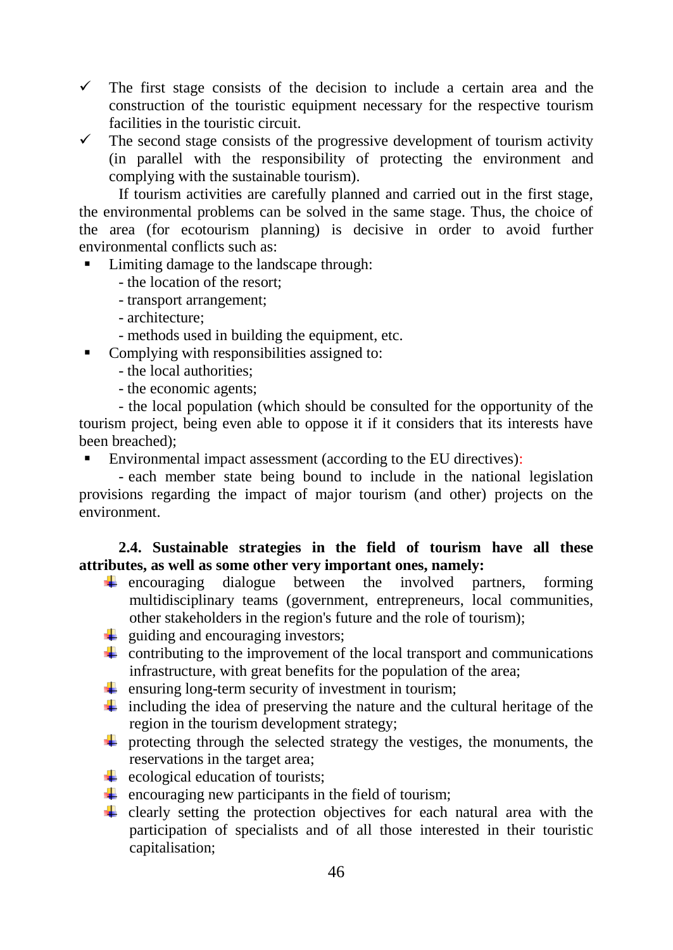- $\checkmark$  The first stage consists of the decision to include a certain area and the construction of the touristic equipment necessary for the respective tourism facilities in the touristic circuit.
- $\checkmark$  The second stage consists of the progressive development of tourism activity (in parallel with the responsibility of protecting the environment and complying with the sustainable tourism).

If tourism activities are carefully planned and carried out in the first stage, the environmental problems can be solved in the same stage. Thus, the choice of the area (for ecotourism planning) is decisive in order to avoid further environmental conflicts such as:

- Limiting damage to the landscape through:
	- the location of the resort;
	- transport arrangement;
	- architecture;
	- methods used in building the equipment, etc.
- Complying with responsibilities assigned to:
	- the local authorities;
	- the economic agents;

- the local population (which should be consulted for the opportunity of the tourism project, being even able to oppose it if it considers that its interests have been breached);

■ Environmental impact assessment (according to the EU directives):

- each member state being bound to include in the national legislation provisions regarding the impact of major tourism (and other) projects on the environment.

# **2.4. Sustainable strategies in the field of tourism have all these attributes, as well as some other very important ones, namely:**

- $\ddot{\phantom{1}}$  encouraging dialogue between the involved partners, forming multidisciplinary teams (government, entrepreneurs, local communities, other stakeholders in the region's future and the role of tourism);
- $\frac{1}{\sqrt{2}}$  guiding and encouraging investors;
- $\downarrow$  contributing to the improvement of the local transport and communications infrastructure, with great benefits for the population of the area;
- $\downarrow$  ensuring long-term security of investment in tourism;
- including the idea of preserving the nature and the cultural heritage of the region in the tourism development strategy;
- $\overline{\text{I}}$  protecting through the selected strategy the vestiges, the monuments, the reservations in the target area;
- $\overline{\phantom{a}}$  ecological education of tourists;
- $\downarrow$  encouraging new participants in the field of tourism;
- $\pm$  clearly setting the protection objectives for each natural area with the participation of specialists and of all those interested in their touristic capitalisation;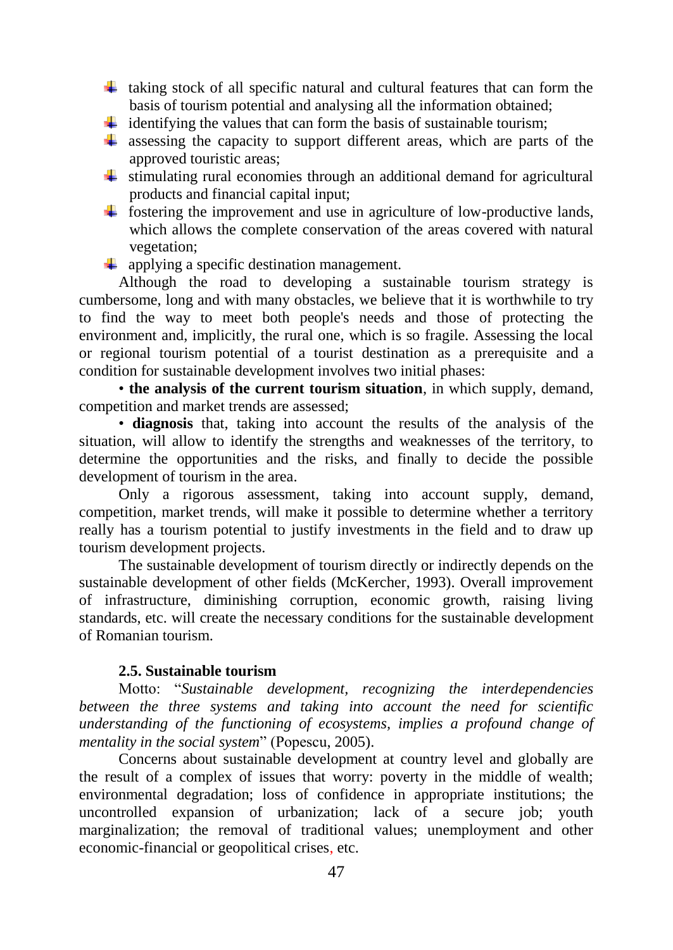- $\ddot{+}$  taking stock of all specific natural and cultural features that can form the basis of tourism potential and analysing all the information obtained;
- $\ddot{\text{I}}$  identifying the values that can form the basis of sustainable tourism;
- $\ddot{+}$  assessing the capacity to support different areas, which are parts of the approved touristic areas;
- $\frac{1}{\sqrt{1}}$  stimulating rural economies through an additional demand for agricultural products and financial capital input;
- $\ddot{\text{I}}$  fostering the improvement and use in agriculture of low-productive lands, which allows the complete conservation of the areas covered with natural vegetation;
- $\downarrow$  applying a specific destination management.

Although the road to developing a sustainable tourism strategy is cumbersome, long and with many obstacles, we believe that it is worthwhile to try to find the way to meet both people's needs and those of protecting the environment and, implicitly, the rural one, which is so fragile. Assessing the local or regional tourism potential of a tourist destination as a prerequisite and a condition for sustainable development involves two initial phases:

• **the analysis of the current tourism situation**, in which supply, demand, competition and market trends are assessed;

• **diagnosis** that, taking into account the results of the analysis of the situation, will allow to identify the strengths and weaknesses of the territory, to determine the opportunities and the risks, and finally to decide the possible development of tourism in the area.

Only a rigorous assessment, taking into account supply, demand, competition, market trends, will make it possible to determine whether a territory really has a tourism potential to justify investments in the field and to draw up tourism development projects.

The sustainable development of tourism directly or indirectly depends on the sustainable development of other fields (McKercher, 1993). Overall improvement of infrastructure, diminishing corruption, economic growth, raising living standards, etc. will create the necessary conditions for the sustainable development of Romanian tourism.

# **2.5. Sustainable tourism**

Motto: "*Sustainable development, recognizing the interdependencies between the three systems and taking into account the need for scientific understanding of the functioning of ecosystems, implies a profound change of mentality in the social system*" (Popescu, 2005).

Concerns about sustainable development at country level and globally are the result of a complex of issues that worry: poverty in the middle of wealth; environmental degradation; loss of confidence in appropriate institutions; the uncontrolled expansion of urbanization; lack of a secure job; youth marginalization; the removal of traditional values; unemployment and other economic-financial or geopolitical crises, etc.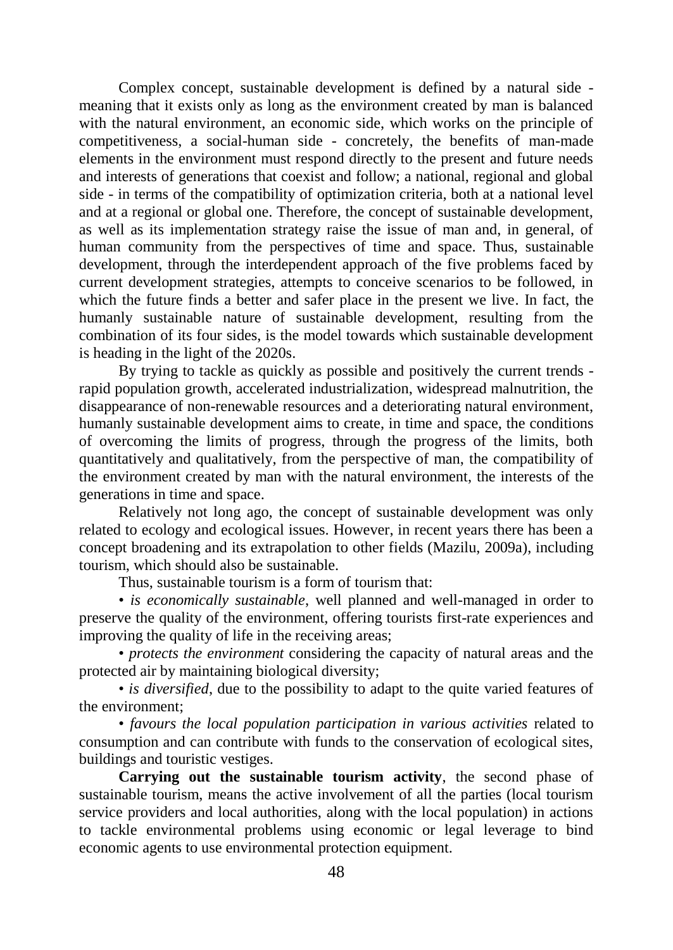Complex concept, sustainable development is defined by a natural side meaning that it exists only as long as the environment created by man is balanced with the natural environment, an economic side, which works on the principle of competitiveness, a social-human side - concretely, the benefits of man-made elements in the environment must respond directly to the present and future needs and interests of generations that coexist and follow; a national, regional and global side - in terms of the compatibility of optimization criteria, both at a national level and at a regional or global one. Therefore, the concept of sustainable development, as well as its implementation strategy raise the issue of man and, in general, of human community from the perspectives of time and space. Thus, sustainable development, through the interdependent approach of the five problems faced by current development strategies, attempts to conceive scenarios to be followed, in which the future finds a better and safer place in the present we live. In fact, the humanly sustainable nature of sustainable development, resulting from the combination of its four sides, is the model towards which sustainable development is heading in the light of the 2020s.

By trying to tackle as quickly as possible and positively the current trends rapid population growth, accelerated industrialization, widespread malnutrition, the disappearance of non-renewable resources and a deteriorating natural environment, humanly sustainable development aims to create, in time and space, the conditions of overcoming the limits of progress, through the progress of the limits, both quantitatively and qualitatively, from the perspective of man, the compatibility of the environment created by man with the natural environment, the interests of the generations in time and space.

Relatively not long ago, the concept of sustainable development was only related to ecology and ecological issues. However, in recent years there has been a concept broadening and its extrapolation to other fields (Mazilu, 2009a), including tourism, which should also be sustainable.

Thus, sustainable tourism is a form of tourism that:

• *is economically sustainable*, well planned and well-managed in order to preserve the quality of the environment, offering tourists first-rate experiences and improving the quality of life in the receiving areas;

• *protects the environment* considering the capacity of natural areas and the protected air by maintaining biological diversity;

• *is diversified*, due to the possibility to adapt to the quite varied features of the environment;

• *favours the local population participation in various activities* related to consumption and can contribute with funds to the conservation of ecological sites, buildings and touristic vestiges.

**Carrying out the sustainable tourism activity**, the second phase of sustainable tourism, means the active involvement of all the parties (local tourism service providers and local authorities, along with the local population) in actions to tackle environmental problems using economic or legal leverage to bind economic agents to use environmental protection equipment.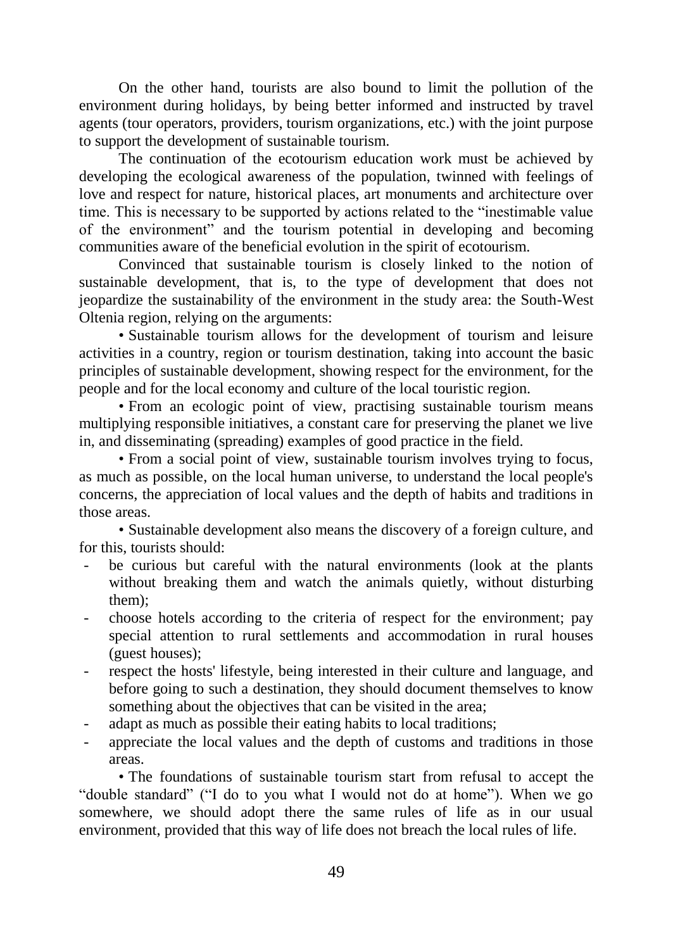On the other hand, tourists are also bound to limit the pollution of the environment during holidays, by being better informed and instructed by travel agents (tour operators, providers, tourism organizations, etc.) with the joint purpose to support the development of sustainable tourism.

The continuation of the ecotourism education work must be achieved by developing the ecological awareness of the population, twinned with feelings of love and respect for nature, historical places, art monuments and architecture over time. This is necessary to be supported by actions related to the "inestimable value of the environment" and the tourism potential in developing and becoming communities aware of the beneficial evolution in the spirit of ecotourism.

Convinced that sustainable tourism is closely linked to the notion of sustainable development, that is, to the type of development that does not jeopardize the sustainability of the environment in the study area: the South-West Oltenia region, relying on the arguments:

• Sustainable tourism allows for the development of tourism and leisure activities in a country, region or tourism destination, taking into account the basic principles of sustainable development, showing respect for the environment, for the people and for the local economy and culture of the local touristic region.

• From an ecologic point of view, practising sustainable tourism means multiplying responsible initiatives, a constant care for preserving the planet we live in, and disseminating (spreading) examples of good practice in the field.

• From a social point of view, sustainable tourism involves trying to focus, as much as possible, on the local human universe, to understand the local people's concerns, the appreciation of local values and the depth of habits and traditions in those areas.

• Sustainable development also means the discovery of a foreign culture, and for this, tourists should:

- be curious but careful with the natural environments (look at the plants without breaking them and watch the animals quietly, without disturbing them);
- choose hotels according to the criteria of respect for the environment; pay special attention to rural settlements and accommodation in rural houses (guest houses);
- respect the hosts' lifestyle, being interested in their culture and language, and before going to such a destination, they should document themselves to know something about the objectives that can be visited in the area;
- adapt as much as possible their eating habits to local traditions;
- appreciate the local values and the depth of customs and traditions in those areas.

• The foundations of sustainable tourism start from refusal to accept the "double standard" ("I do to you what I would not do at home"). When we go somewhere, we should adopt there the same rules of life as in our usual environment, provided that this way of life does not breach the local rules of life.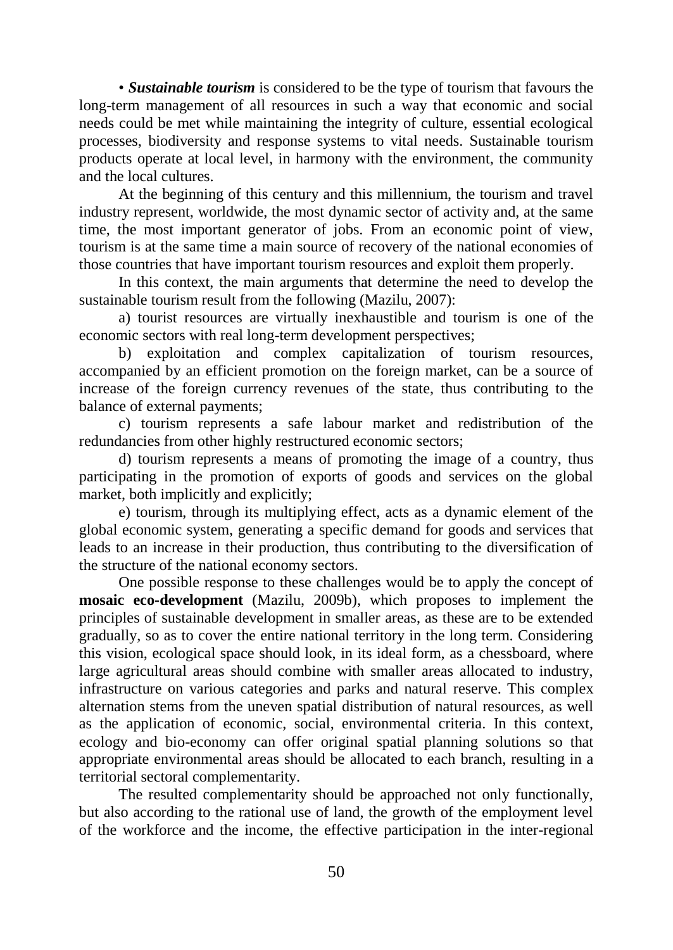• *Sustainable tourism* is considered to be the type of tourism that favours the long-term management of all resources in such a way that economic and social needs could be met while maintaining the integrity of culture, essential ecological processes, biodiversity and response systems to vital needs. Sustainable tourism products operate at local level, in harmony with the environment, the community and the local cultures.

At the beginning of this century and this millennium, the tourism and travel industry represent, worldwide, the most dynamic sector of activity and, at the same time, the most important generator of jobs. From an economic point of view, tourism is at the same time a main source of recovery of the national economies of those countries that have important tourism resources and exploit them properly.

In this context, the main arguments that determine the need to develop the sustainable tourism result from the following (Mazilu, 2007):

a) tourist resources are virtually inexhaustible and tourism is one of the economic sectors with real long-term development perspectives;

b) exploitation and complex capitalization of tourism resources, accompanied by an efficient promotion on the foreign market, can be a source of increase of the foreign currency revenues of the state, thus contributing to the balance of external payments;

c) tourism represents a safe labour market and redistribution of the redundancies from other highly restructured economic sectors;

d) tourism represents a means of promoting the image of a country, thus participating in the promotion of exports of goods and services on the global market, both implicitly and explicitly;

e) tourism, through its multiplying effect, acts as a dynamic element of the global economic system, generating a specific demand for goods and services that leads to an increase in their production, thus contributing to the diversification of the structure of the national economy sectors.

One possible response to these challenges would be to apply the concept of **mosaic eco-development** (Mazilu, 2009b), which proposes to implement the principles of sustainable development in smaller areas, as these are to be extended gradually, so as to cover the entire national territory in the long term. Considering this vision, ecological space should look, in its ideal form, as a chessboard, where large agricultural areas should combine with smaller areas allocated to industry, infrastructure on various categories and parks and natural reserve. This complex alternation stems from the uneven spatial distribution of natural resources, as well as the application of economic, social, environmental criteria. In this context, ecology and bio-economy can offer original spatial planning solutions so that appropriate environmental areas should be allocated to each branch, resulting in a territorial sectoral complementarity.

The resulted complementarity should be approached not only functionally, but also according to the rational use of land, the growth of the employment level of the workforce and the income, the effective participation in the inter-regional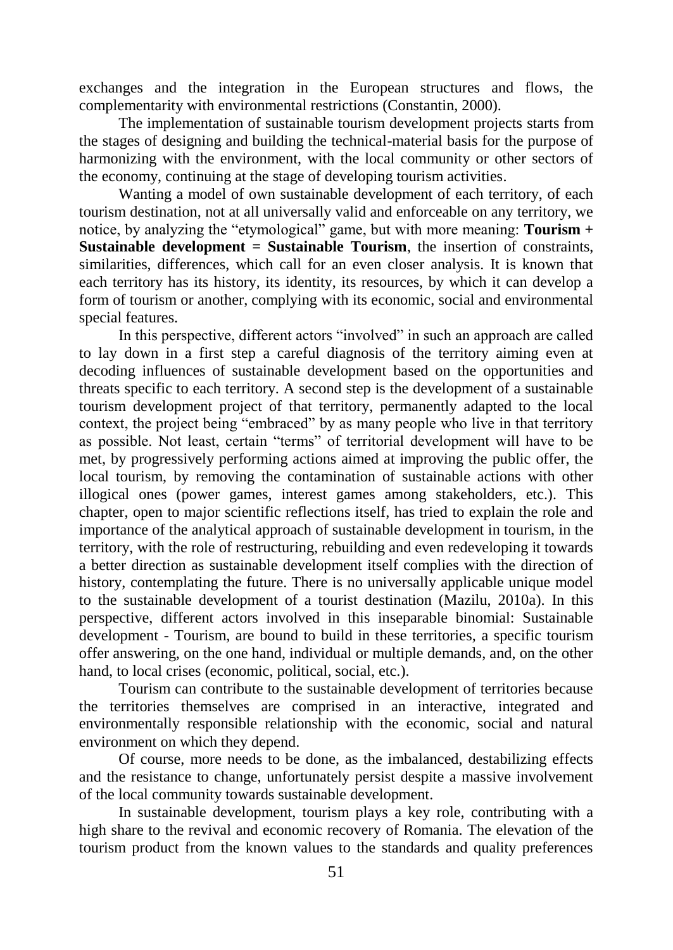exchanges and the integration in the European structures and flows, the complementarity with environmental restrictions (Constantin, 2000).

The implementation of sustainable tourism development projects starts from the stages of designing and building the technical-material basis for the purpose of harmonizing with the environment, with the local community or other sectors of the economy, continuing at the stage of developing tourism activities.

Wanting a model of own sustainable development of each territory, of each tourism destination, not at all universally valid and enforceable on any territory, we notice, by analyzing the "etymological" game, but with more meaning: **Tourism + Sustainable development = Sustainable Tourism**, the insertion of constraints, similarities, differences, which call for an even closer analysis. It is known that each territory has its history, its identity, its resources, by which it can develop a form of tourism or another, complying with its economic, social and environmental special features.

In this perspective, different actors "involved" in such an approach are called to lay down in a first step a careful diagnosis of the territory aiming even at decoding influences of sustainable development based on the opportunities and threats specific to each territory. A second step is the development of a sustainable tourism development project of that territory, permanently adapted to the local context, the project being "embraced" by as many people who live in that territory as possible. Not least, certain "terms" of territorial development will have to be met, by progressively performing actions aimed at improving the public offer, the local tourism, by removing the contamination of sustainable actions with other illogical ones (power games, interest games among stakeholders, etc.). This chapter, open to major scientific reflections itself, has tried to explain the role and importance of the analytical approach of sustainable development in tourism, in the territory, with the role of restructuring, rebuilding and even redeveloping it towards a better direction as sustainable development itself complies with the direction of history, contemplating the future. There is no universally applicable unique model to the sustainable development of a tourist destination (Mazilu, 2010a). In this perspective, different actors involved in this inseparable binomial: Sustainable development - Tourism, are bound to build in these territories, a specific tourism offer answering, on the one hand, individual or multiple demands, and, on the other hand, to local crises (economic, political, social, etc.).

Tourism can contribute to the sustainable development of territories because the territories themselves are comprised in an interactive, integrated and environmentally responsible relationship with the economic, social and natural environment on which they depend.

Of course, more needs to be done, as the imbalanced, destabilizing effects and the resistance to change, unfortunately persist despite a massive involvement of the local community towards sustainable development.

In sustainable development, tourism plays a key role, contributing with a high share to the revival and economic recovery of Romania. The elevation of the tourism product from the known values to the standards and quality preferences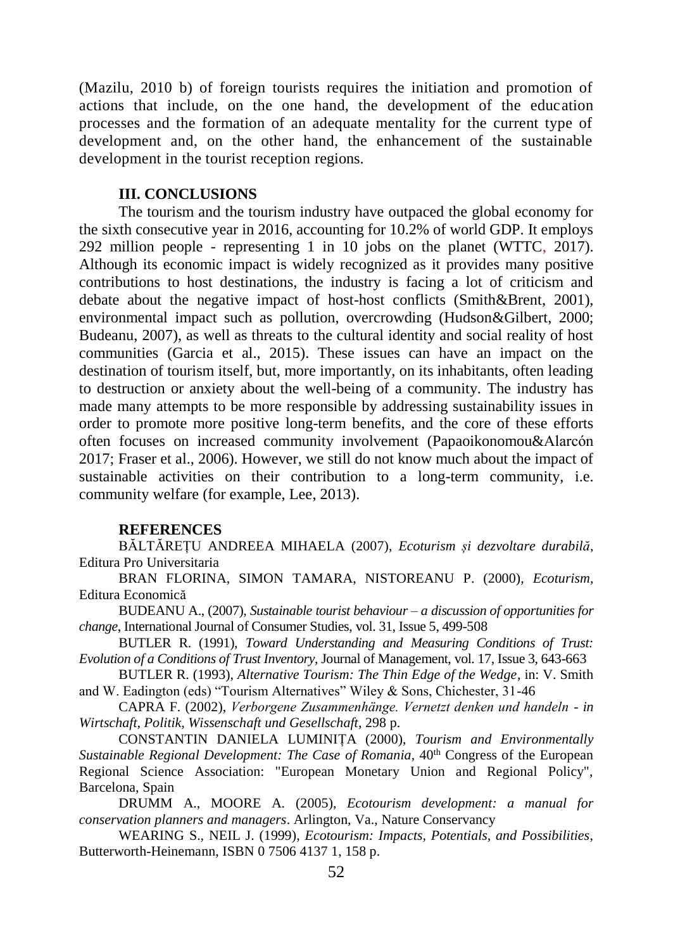(Mazilu, 2010 b) of foreign tourists requires the initiation and promotion of actions that include, on the one hand, the development of the education processes and the formation of an adequate mentality for the current type of development and, on the other hand, the enhancement of the sustainable development in the tourist reception regions.

#### **III. CONCLUSIONS**

The tourism and the tourism industry have outpaced the global economy for the sixth consecutive year in 2016, accounting for 10.2% of world GDP. It employs 292 million people - representing 1 in 10 jobs on the planet (WTTC, 2017). Although its economic impact is widely recognized as it provides many positive contributions to host destinations, the industry is facing a lot of criticism and debate about the negative impact of host-host conflicts (Smith&Brent, 2001), environmental impact such as pollution, overcrowding (Hudson&Gilbert, 2000; Budeanu, 2007), as well as threats to the cultural identity and social reality of host communities (Garcia et al., 2015). These issues can have an impact on the destination of tourism itself, but, more importantly, on its inhabitants, often leading to destruction or anxiety about the well-being of a community. The industry has made many attempts to be more responsible by addressing sustainability issues in order to promote more positive long-term benefits, and the core of these efforts often focuses on increased community involvement (Papaoikonomou&Alarcón 2017; Fraser et al., 2006). However, we still do not know much about the impact of sustainable activities on their contribution to a long-term community, i.e. community welfare (for example, Lee, 2013).

### **REFERENCES**

BĂLTĂREȚU ANDREEA MIHAELA (2007), *Ecoturism și dezvoltare durabilă,*  Editura Pro Universitaria

BRAN FLORINA, SIMON TAMARA, NISTOREANU P. (2000), *Ecoturism,*  Editura Economică

BUDEANU A., (2007), *Sustainable tourist behaviour – a discussion of opportunities for change*, International Journal of Consumer Studies, vol. 31, Issue 5, 499-508

BUTLER R. (1991), *Toward Understanding and Measuring Conditions of Trust: Evolution of a Conditions of Trust Inventory*, Journal of Management, vol. 17, Issue 3, 643-663

BUTLER R. (1993), *Alternative Tourism: The Thin Edge of the Wedge*, in: V. Smith and W. Eadington (eds) "Tourism Alternatives" Wiley & Sons, Chichester, 31-46

CAPRA F. (2002), *Verborgene Zusammenhänge. Vernetzt denken und handeln - in Wirtschaft, Politik, Wissenschaft und Gesellschaft*, 298 p.

CONSTANTIN DANIELA LUMINIȚA (2000), *Tourism and Environmentally Sustainable Regional Development: The Case of Romania*, 40<sup>th</sup> Congress of the European Regional Science Association: "European Monetary Union and Regional Policy", Barcelona, Spain

DRUMM A., MOORE A. (2005), *Ecotourism development: a manual for conservation planners and managers*. Arlington, Va., Nature Conservancy

WEARING S., NEIL J. (1999), *Ecotourism: Impacts, Potentials, and Possibilities*, Butterworth-Heinemann, ISBN 0 7506 4137 1, 158 p.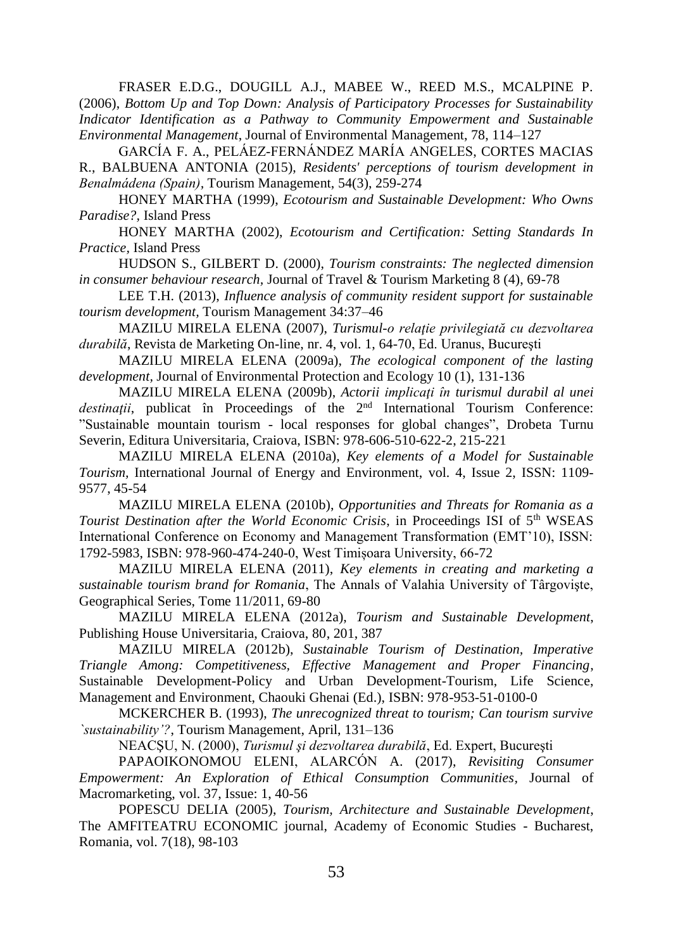FRASER E.D.G., DOUGILL A.J., MABEE W., REED M.S., MCALPINE P. (2006), *Bottom Up and Top Down: Analysis of Participatory Processes for Sustainability Indicator Identification as a Pathway to Community Empowerment and Sustainable Environmental Management*, Journal of Environmental Management, 78, 114–127

GARCÍA F. A., PELÁEZ-FERNÁNDEZ MARÍA ANGELES, CORTES MACIAS R., BALBUENA ANTONIA (2015), *Residents' perceptions of tourism development in Benalmádena (Spain),* Tourism Management, 54(3), 259-274

HONEY MARTHA (1999), *Ecotourism and Sustainable Development: Who Owns Paradise?,* Island Press

HONEY MARTHA (2002), *Ecotourism and Certification: Setting Standards In Practice,* Island Press

HUDSON S., GILBERT D. (2000), *Tourism constraints: The neglected dimension in consumer behaviour research,* Journal of Travel & Tourism Marketing 8 (4), 69-78

LEE T.H. (2013), *Influence analysis of community resident support for sustainable tourism development,* Tourism Management 34:37–46

MAZILU MIRELA ELENA (2007), *Turismul-o relaţie privilegiată cu dezvoltarea durabilă*, Revista de Marketing On-line, nr. 4, vol. 1, 64-70, Ed. Uranus, Bucureşti

MAZILU MIRELA ELENA (2009a), *The ecological component of the lasting development,* Journal of Environmental Protection and Ecology 10 (1), 131-136

MAZILU MIRELA ELENA (2009b), *Actorii implicaţi în turismul durabil al unei* destinații, publicat în Proceedings of the 2<sup>nd</sup> International Tourism Conference: "Sustainable mountain tourism - local responses for global changes", Drobeta Turnu Severin, Editura Universitaria, Craiova, ISBN: 978-606-510-622-2, 215-221

MAZILU MIRELA ELENA (2010a), *Key elements of a Model for Sustainable Tourism,* International Journal of Energy and Environment, vol. 4, Issue 2, ISSN: 1109- 9577, 45-54

MAZILU MIRELA ELENA (2010b), *Opportunities and Threats for Romania as a Tourist Destination after the World Economic Crisis*, in Proceedings ISI of 5<sup>th</sup> WSEAS International Conference on Economy and Management Transformation (EMT'10), ISSN: 1792-5983, ISBN: 978-960-474-240-0, West Timișoara University, 66-72

MAZILU MIRELA ELENA (2011), *Key elements in creating and marketing a sustainable tourism brand for Romania*, The Annals of Valahia University of Târgovişte, Geographical Series, Tome 11/2011, 69-80

MAZILU MIRELA ELENA (2012a), *Tourism and Sustainable Development*, Publishing House Universitaria, Craiova, 80, 201, 387

MAZILU MIRELA (2012b), *Sustainable Tourism of Destination, Imperative Triangle Among: Competitiveness, Effective Management and Proper Financing*, Sustainable Development-Policy and Urban Development-Tourism, Life Science, Management and Environment, Chaouki Ghenai (Ed.), ISBN: 978-953-51-0100-0

MCKERCHER B. (1993), *The unrecognized threat to tourism; Can tourism survive `sustainability'?*, Tourism Management, April, 131–136

NEACŞU, N. (2000), *Turismul şi dezvoltarea durabilă*, Ed. Expert, Bucureşti

PAPAOIKONOMOU ELENI, ALARCÓN A. (2017), *Revisiting Consumer Empowerment: An Exploration of Ethical Consumption Communities,* Journal of Macromarketing, vol. 37, Issue: 1, 40-56

POPESCU DELIA (2005), *Tourism, Architecture and Sustainable Development*, The AMFITEATRU ECONOMIC journal, Academy of Economic Studies - Bucharest, Romania, vol. 7(18), 98-103